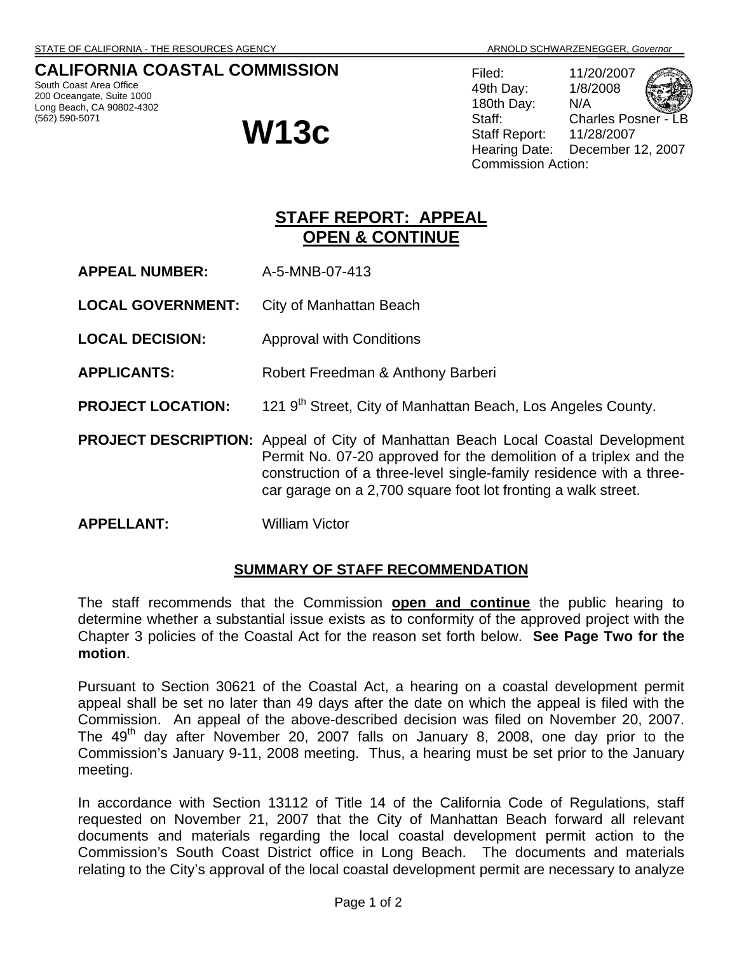## **CALIFORNIA COASTAL COMMISSION**

South Coast Area Office 200 Oceangate, Suite 1000 Long Beach, CA 90802-4302 (562) 590-5071

# **W13c**

Filed: 11/20/2007 49th Day: 1/8/2008 180th Day: N/A Staff: Charles Posner -Staff Report: 11/28/2007 Hearing Date: December 12, 2007 Commission Action:

## **STAFF REPORT: APPEAL OPEN & CONTINUE**

- **APPEAL NUMBER:** A-5-MNB-07-413
- **LOCAL GOVERNMENT:** City of Manhattan Beach
- **LOCAL DECISION:** Approval with Conditions
- **APPLICANTS:** Robert Freedman & Anthony Barberi
- **PROJECT LOCATION:** 121 9<sup>th</sup> Street, City of Manhattan Beach, Los Angeles County.
- **PROJECT DESCRIPTION:** Appeal of City of Manhattan Beach Local Coastal Development Permit No. 07-20 approved for the demolition of a triplex and the construction of a three-level single-family residence with a threecar garage on a 2,700 square foot lot fronting a walk street.
- **APPELLANT:** William Victor

### **SUMMARY OF STAFF RECOMMENDATION**

The staff recommends that the Commission **open and continue** the public hearing to determine whether a substantial issue exists as to conformity of the approved project with the Chapter 3 policies of the Coastal Act for the reason set forth below. **See Page Two for the motion**.

Pursuant to Section 30621 of the Coastal Act, a hearing on a coastal development permit appeal shall be set no later than 49 days after the date on which the appeal is filed with the Commission. An appeal of the above-described decision was filed on November 20, 2007. The  $49<sup>th</sup>$  day after November 20, 2007 falls on January 8, 2008, one day prior to the Commission's January 9-11, 2008 meeting. Thus, a hearing must be set prior to the January meeting.

In accordance with Section 13112 of Title 14 of the California Code of Regulations, staff requested on November 21, 2007 that the City of Manhattan Beach forward all relevant documents and materials regarding the local coastal development permit action to the Commission's South Coast District office in Long Beach. The documents and materials relating to the City's approval of the local coastal development permit are necessary to analyze